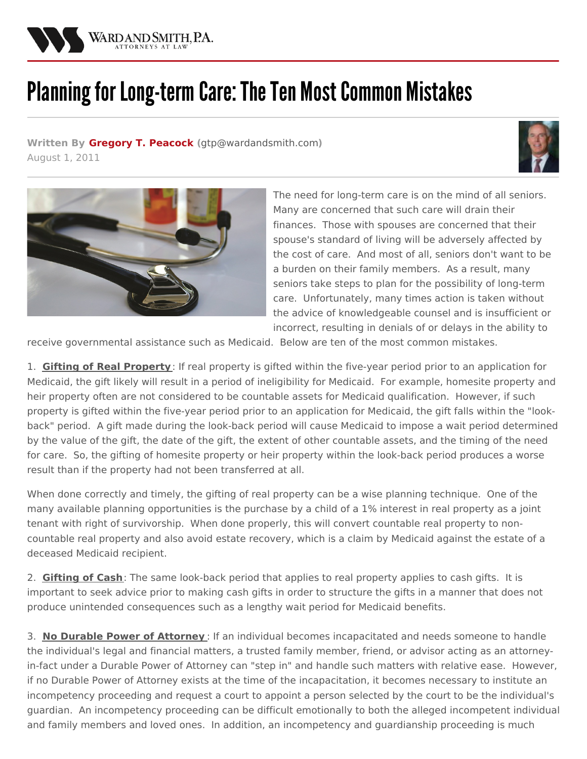

## Planning for Long-term Care: The Ten Most Common Mistakes

**Written By Gregory T. [Peacock](/attorneys/gregory-peacock) (**[gtp@wardandsmith.com](mailto:gtp@wardandsmith.com)**)** August 1, 2011





The need for long-term care is on the mind of all seniors. Many are concerned that such care will drain their finances. Those with spouses are concerned that their spouse's standard of living will be adversely affected by the cost of care. And most of all, seniors don't want to be a burden on their family members. As a result, many seniors take steps to plan for the possibility of long-term care. Unfortunately, many times action is taken without the advice of knowledgeable counsel and is insufficient or incorrect, resulting in denials of or delays in the ability to

receive governmental assistance such as Medicaid. Below are ten of the most common mistakes.

1. **Gifting of Real Property**: If real property is gifted within the five-year period prior to an application for Medicaid, the gift likely will result in a period of ineligibility for Medicaid. For example, homesite property and heir property often are not considered to be countable assets for Medicaid qualification. However, if such property is gifted within the five-year period prior to an application for Medicaid, the gift falls within the "lookback" period. A gift made during the look-back period will cause Medicaid to impose a wait period determined by the value of the gift, the date of the gift, the extent of other countable assets, and the timing of the need for care. So, the gifting of homesite property or heir property within the look-back period produces a worse result than if the property had not been transferred at all.

When done correctly and timely, the gifting of real property can be a wise planning technique. One of the many available planning opportunities is the purchase by a child of a 1% interest in real property as a joint tenant with right of survivorship. When done properly, this will convert countable real property to noncountable real property and also avoid estate recovery, which is a claim by Medicaid against the estate of a deceased Medicaid recipient.

2. **Gifting of Cash**: The same look-back period that applies to real property applies to cash gifts. It is important to seek advice prior to making cash gifts in order to structure the gifts in a manner that does not produce unintended consequences such as a lengthy wait period for Medicaid benefits.

3. **No Durable Power of Attorney** : If an individual becomes incapacitated and needs someone to handle the individual's legal and financial matters, a trusted family member, friend, or advisor acting as an attorneyin-fact under a Durable Power of Attorney can "step in" and handle such matters with relative ease. However, if no Durable Power of Attorney exists at the time of the incapacitation, it becomes necessary to institute an incompetency proceeding and request a court to appoint a person selected by the court to be the individual's guardian. An incompetency proceeding can be difficult emotionally to both the alleged incompetent individual and family members and loved ones. In addition, an incompetency and guardianship proceeding is much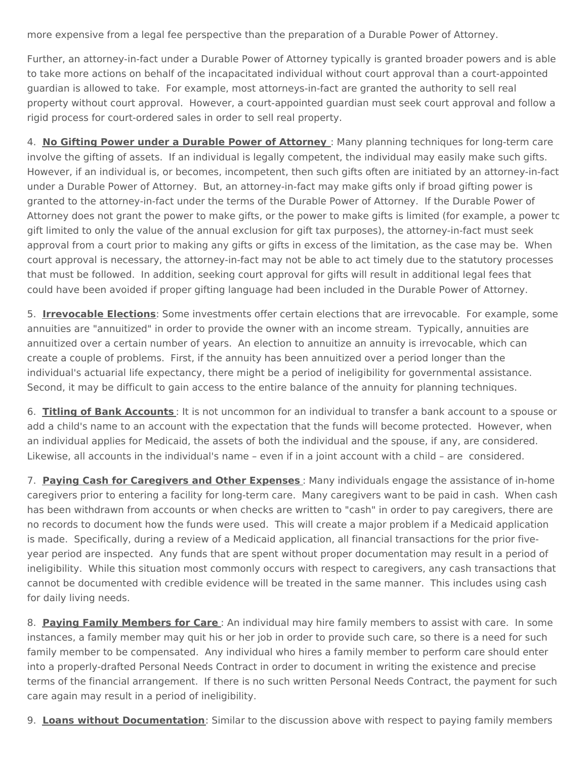more expensive from a legal fee perspective than the preparation of a Durable Power of Attorney.

Further, an attorney-in-fact under a Durable Power of Attorney typically is granted broader powers and is able to take more actions on behalf of the incapacitated individual without court approval than a court-appointed guardian is allowed to take. For example, most attorneys-in-fact are granted the authority to sell real property without court approval. However, a court-appointed guardian must seek court approval and follow a rigid process for court-ordered sales in order to sell real property.

4. **No Gifting Power under a Durable Power of Attorney** : Many planning techniques for long-term care involve the gifting of assets. If an individual is legally competent, the individual may easily make such gifts. However, if an individual is, or becomes, incompetent, then such gifts often are initiated by an attorney-in-fact under a Durable Power of Attorney. But, an attorney-in-fact may make gifts only if broad gifting power is granted to the attorney-in-fact under the terms of the Durable Power of Attorney. If the Durable Power of Attorney does not grant the power to make gifts, or the power to make gifts is limited (for example, a power to gift limited to only the value of the annual exclusion for gift tax purposes), the attorney-in-fact must seek approval from a court prior to making any gifts or gifts in excess of the limitation, as the case may be. When court approval is necessary, the attorney-in-fact may not be able to act timely due to the statutory processes that must be followed. In addition, seeking court approval for gifts will result in additional legal fees that could have been avoided if proper gifting language had been included in the Durable Power of Attorney.

5. **Irrevocable Elections**: Some investments offer certain elections that are irrevocable. For example, some annuities are "annuitized" in order to provide the owner with an income stream. Typically, annuities are annuitized over a certain number of years. An election to annuitize an annuity is irrevocable, which can create a couple of problems. First, if the annuity has been annuitized over a period longer than the individual's actuarial life expectancy, there might be a period of ineligibility for governmental assistance. Second, it may be difficult to gain access to the entire balance of the annuity for planning techniques.

6. **Titling of Bank Accounts** : It is not uncommon for an individual to transfer a bank account to a spouse or add a child's name to an account with the expectation that the funds will become protected. However, when an individual applies for Medicaid, the assets of both the individual and the spouse, if any, are considered. Likewise, all accounts in the individual's name – even if in a joint account with a child – are considered.

7. **Paying Cash for Caregivers and Other Expenses** : Many individuals engage the assistance of in-home caregivers prior to entering a facility for long-term care. Many caregivers want to be paid in cash. When cash has been withdrawn from accounts or when checks are written to "cash" in order to pay caregivers, there are no records to document how the funds were used. This will create a major problem if a Medicaid application is made. Specifically, during a review of a Medicaid application, all financial transactions for the prior fiveyear period are inspected. Any funds that are spent without proper documentation may result in a period of ineligibility. While this situation most commonly occurs with respect to caregivers, any cash transactions that cannot be documented with credible evidence will be treated in the same manner. This includes using cash for daily living needs.

8. **Paying Family Members for Care** : An individual may hire family members to assist with care. In some instances, a family member may quit his or her job in order to provide such care, so there is a need for such family member to be compensated. Any individual who hires a family member to perform care should enter into a properly-drafted Personal Needs Contract in order to document in writing the existence and precise terms of the financial arrangement. If there is no such written Personal Needs Contract, the payment for such care again may result in a period of ineligibility.

9. **Loans without Documentation**: Similar to the discussion above with respect to paying family members